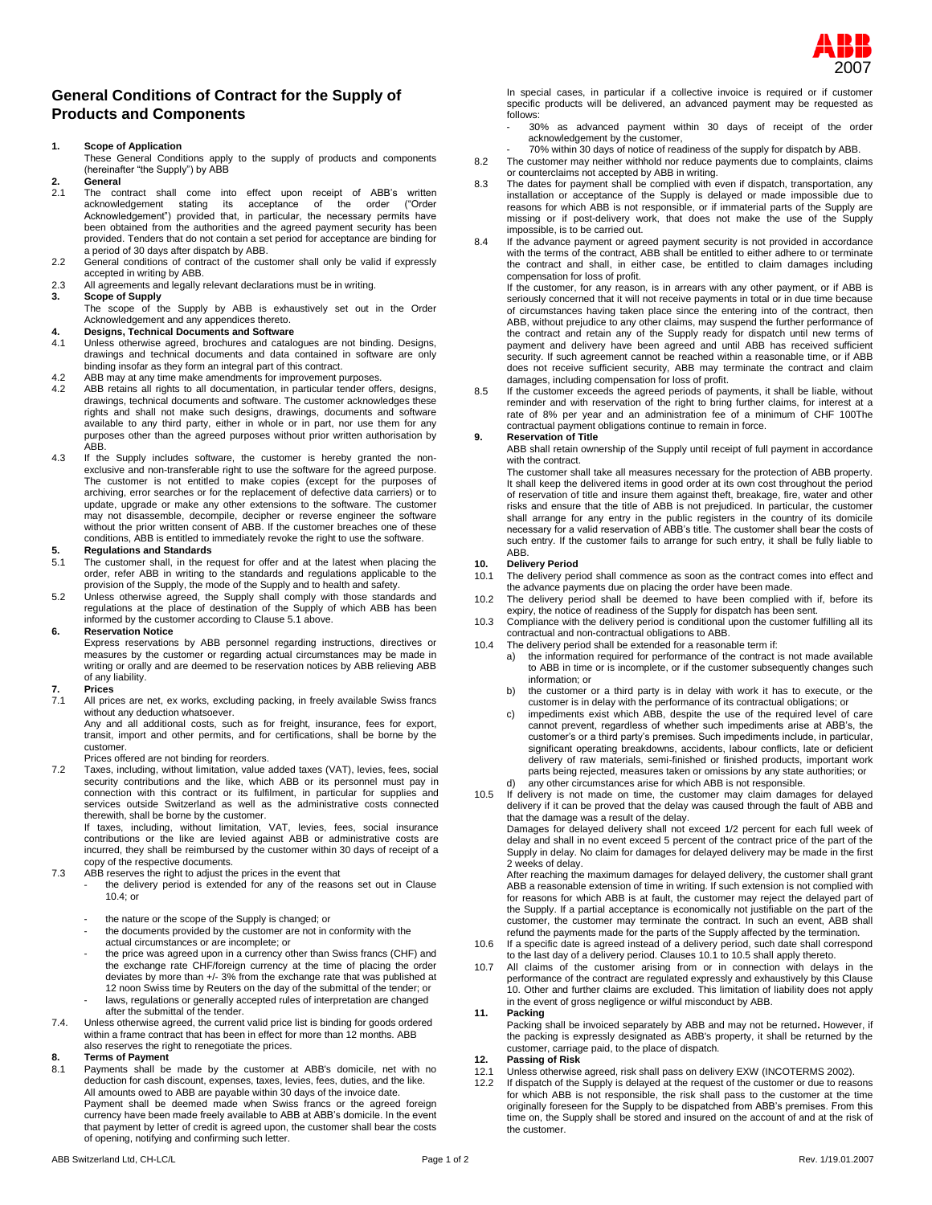

## **General Conditions of Contract for the Supply of Products and Components**

## **1. Scope of Application**

These General Conditions apply to the supply of products and components (hereinafter "the Supply") by ABB

# **2. General**

- The contract shall come into effect upon receipt of ABB's written acknowledgement stating its acceptance of the order ("Order acknowledgement stating its acceptance Acknowledgement") provided that, in particular, the necessary permits have been obtained from the authorities and the agreed payment security has been provided. Tenders that do not contain a set period for acceptance are binding for a period of 30 days after dispatch by ABB.
- 2.2 General conditions of contract of the customer shall only be valid if expressly accepted in writing by ABB.
- 2.3 All agreements and legally relevant declarations must be in writing.<br>3. Scope of Supply

## **3. Scope of Supply**

The scope of the Supply by ABB is exhaustively set out in the Order Acknowledgement and any appendices thereto.

# **4. Designs, Technical Documents and Software**

- Unless otherwise agreed, brochures and catalogues are not binding. Designs, drawings and technical documents and data contained in software are only binding insofar as they form an integral part of this contract.
- 4.2 ABB may at any time make amendments for improvement purposes.<br>4.2 ABB retains all rights to all documentation, in particular tender off
- ABB retains all rights to all documentation, in particular tender offers, designs, drawings, technical documents and software. The customer acknowledges these rights and shall not make such designs, drawings, documents and software available to any third party, either in whole or in part, nor use them for any purposes other than the agreed purposes without prior written authorisation by ABB.
- 4.3 If the Supply includes software, the customer is hereby granted the nonexclusive and non-transferable right to use the software for the agreed purpose. The customer is not entitled to make copies (except for the purposes of archiving, error searches or for the replacement of defective data carriers) or to update, upgrade or make any other extensions to the software. The customer may not disassemble, decompile, decipher or reverse engineer the software without the prior written consent of ABB. If the customer breaches one of these conditions, ABB is entitled to immediately revoke the right to use the software.

# **5. Regulations and Standards**

- The customer shall, in the request for offer and at the latest when placing the order, refer ABB in writing to the standards and regulations applicable to the
- provision of the Supply, the mode of the Supply and to health and safety. 5.2 Unless otherwise agreed, the Supply shall comply with those standards and regulations at the place of destination of the Supply of which ABB has been informed by the customer according to Clause 5.1 above.

#### **6. Reservation Notice**

Express reservations by ABB personnel regarding instructions, directives or measures by the customer or regarding actual circumstances may be made in writing or orally and are deemed to be reservation notices by ABB relieving ABB of any liability.

# **7. Prices**

All prices are net, ex works, excluding packing, in freely available Swiss francs without any deduction whatsoever.

Any and all additional costs, such as for freight, insurance, fees for export, transit, import and other permits, and for certifications, shall be borne by the customer.

## Prices offered are not binding for reorders.

7.2 Taxes, including, without limitation, value added taxes (VAT), levies, fees, social security contributions and the like, which ABB or its personnel must pay in connection with this contract or its fulfilment, in particular for supplies and services outside Switzerland as well as the administrative costs connected

therewith, shall be borne by the customer. If taxes, including, without limitation, VAT, levies, fees, social insurance contributions or the like are levied against ABB or administrative costs are incurred, they shall be reimbursed by the customer within 30 days of receipt of a copy of the respective documents.

- 7.3 ABB reserves the right to adjust the prices in the event that
	- the delivery period is extended for any of the reasons set out in Clause 10.4; or
	- the nature or the scope of the Supply is changed; or
	- the documents provided by the customer are not in conformity with the actual circumstances or are incomplete; or
	- the price was agreed upon in a currency other than Swiss francs (CHF) and the exchange rate CHF/foreign currency at the time of placing the order deviates by more than +/- 3% from the exchange rate that was published at 12 noon Swiss time by Reuters on the day of the submittal of the tender; or
	- laws, regulations or generally accepted rules of interpretation are changed after the submittal of the tender.
- 7.4. Unless otherwise agreed, the current valid price list is binding for goods ordered within a frame contract that has been in effect for more than 12 months. ABB also reserves the right to renegotiate the prices.

# **8. Terms of Payment**

Payments shall be made by the customer at ABB's domicile, net with no deduction for cash discount, expenses, taxes, levies, fees, duties, and the like. All amounts owed to ABB are payable within 30 days of the invoice date. Payment shall be deemed made when Swiss francs or the agreed foreign currency have been made freely available to ABB at ABB's domicile. In the event that payment by letter of credit is agreed upon, the customer shall bear the costs of opening, notifying and confirming such letter.

- 30% as advanced payment within 30 days of receipt of the order acknowledgement by the customer,
- 70% within 30 days of notice of readiness of the supply for dispatch by ABB. 8.2 The customer may neither withhold nor reduce payments due to complaints, claims or counterclaims not accepted by ABB in writing.
- 8.3 The dates for payment shall be complied with even if dispatch, transportation, any installation or acceptance of the Supply is delayed or made impossible due to reasons for which ABB is not responsible, or if immaterial parts of the Supply are missing or if post-delivery work, that does not make the use of the Supply impossible, is to be carried out.
- 8.4 If the advance payment or agreed payment security is not provided in accordance with the terms of the contract, ABB shall be entitled to either adhere to or terminate the contract and shall, in either case, be entitled to claim damages including compensation for loss of profit.

If the customer, for any reason, is in arrears with any other payment, or if ABB is seriously concerned that it will not receive payments in total or in due time because of circumstances having taken place since the entering into of the contract, then ABB, without prejudice to any other claims, may suspend the further performance of the contract and retain any of the Supply ready for dispatch until new terms of payment and delivery have been agreed and until ABB has received sufficient security. If such agreement cannot be reached within a reasonable time, or if ABB does not receive sufficient security, ABB may terminate the contract and claim

damages, including compensation for loss of profit. 8.5 If the customer exceeds the agreed periods of payments, it shall be liable, without reminder and with reservation of the right to bring further claims, for interest at a rate of 8% per year and an administration fee of a minimum of CHF 100The contractual payment obligations continue to remain in force.

#### **9. Reservation of Title**

ABB shall retain ownership of the Supply until receipt of full payment in accordance with the contract.

The customer shall take all measures necessary for the protection of ABB property. It shall keep the delivered items in good order at its own cost throughout the period of reservation of title and insure them against theft, breakage, fire, water and other risks and ensure that the title of ABB is not prejudiced. In particular, the customer shall arrange for any entry in the public registers in the country of its domicile necessary for a valid reservation of ABB's title. The customer shall bear the costs of such entry. If the customer fails to arrange for such entry, it shall be fully liable to ABB.

# **10. Delivery Period**

- The delivery period shall commence as soon as the contract comes into effect and the advance payments due on placing the order have been made.
- 10.2 The delivery period shall be deemed to have been complied with if, before its expiry, the notice of readiness of the Supply for dispatch has been sent.
- 10.3 Compliance with the delivery period is conditional upon the customer fulfilling all its contractual and non-contractual obligations to ABB.
- 10.4 The delivery period shall be extended for a reasonable term if:
	- a) the information required for performance of the contract is not made available to ABB in time or is incomplete, or if the customer subsequently changes such information; or
	- b) the customer or a third party is in delay with work it has to execute, or the customer is in delay with the performance of its contractual obligations; or
	- c) impediments exist which ABB, despite the use of the required level of care cannot prevent, regardless of whether such impediments arise at ABB's, the customer's or a third party's premises. Such impediments include, in particular, significant operating breakdowns, accidents, labour conflicts, late or deficient delivery of raw materials, semi-finished or finished products, important work parts being rejected, measures taken or omissions by any state authorities; or any other circumstances arise for which ABB is not responsible.
- 10.5 If delivery is not made on time, the customer may claim damages for delayed delivery if it can be proved that the delay was caused through the fault of ABB and that the damage was a result of the delay.

Damages for delayed delivery shall not exceed 1/2 percent for each full week of delay and shall in no event exceed 5 percent of the contract price of the part of the Supply in delay. No claim for damages for delayed delivery may be made in the first 2 weeks of delay.

After reaching the maximum damages for delayed delivery, the customer shall grant ABB a reasonable extension of time in writing. If such extension is not complied with for reasons for which ABB is at fault, the customer may reject the delayed part of the Supply. If a partial acceptance is economically not justifiable on the part of the customer, the customer may terminate the contract. In such an event, ABB shall refund the payments made for the parts of the Supply affected by the termination.

- 10.6 If a specific date is agreed instead of a delivery period, such date shall correspond to the last day of a delivery period. Clauses 10.1 to 10.5 shall apply thereto.
- 10.7 All claims of the customer arising from or in connection with delays in the performance of the contract are regulated expressly and exhaustively by this Clause 10. Other and further claims are excluded. This limitation of liability does not apply in the event of gross negligence or wilful misconduct by ABB.

#### **11. Packing**

Packing shall be invoiced separately by ABB and may not be returned**.** However, if the packing is expressly designated as ABB's property, it shall be returned by the customer, carriage paid, to the place of dispatch.

### **12. Passing of Risk**

- 12.1 Unless otherwise agreed, risk shall pass on delivery EXW (INCOTERMS 2002).
- 12.2 If dispatch of the Supply is delayed at the request of the customer or due to reasons for which ABB is not responsible, the risk shall pass to the customer at the time originally foreseen for the Supply to be dispatch time on, the Supply shall be stored and insured on the account of and at the risk of the customer.